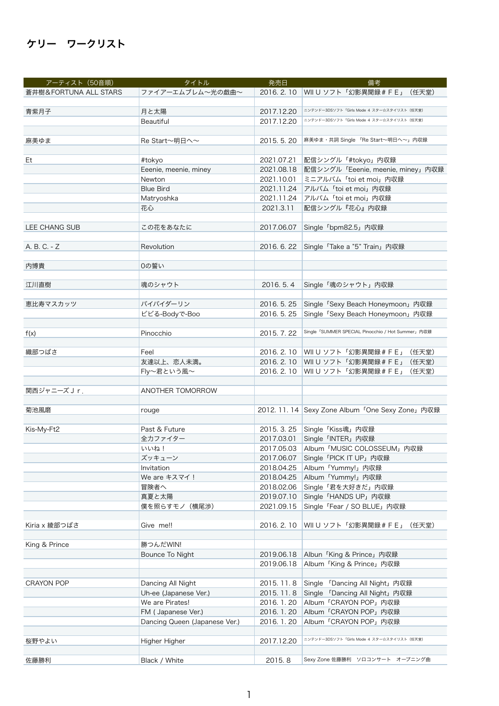## ケリー ワークリスト

| アーティスト (50音順)         | タイトル                          | 発売日                      | 備考                                                |
|-----------------------|-------------------------------|--------------------------|---------------------------------------------------|
| 蒼井樹&FORTUNA ALL STARS | ファイアーエムブレム~光の戯曲~              | 2016. 2. 10              | WII U ソフト「幻影異聞録 # F E」<br>(任天堂)                   |
|                       |                               |                          |                                                   |
| 青紫月子                  | 月と太陽                          | 2017.12.20               | ニンテンドー3DSソフト「Girls Mode 4 スター☆スタイリスト (任天堂)        |
|                       | Beautiful                     | 2017.12.20               | ニンテンドー3DSソフト「Girls Mode 4 スター☆スタイリスト (任天堂)        |
|                       |                               |                          |                                                   |
| 麻美ゆま                  | Re Start〜明日へ〜                 | 2015.5.20                | 麻美ゆま・共詞 Single 「Re Start~明日へ~」内収録                 |
|                       |                               |                          |                                                   |
| Et                    | #tokyo                        | 2021.07.21               | 配信シングル「#tokyo」内収録                                 |
|                       | Eeenie, meenie, miney         | 2021.08.18               | 配信シングル「Eeenie, meenie, miney」内収録                  |
|                       | Newton                        | 2021.10.01               | ミニアルバム「toi et moi」内収録                             |
|                       | <b>Blue Bird</b>              | 2021.11.24               | アルバム「toi et moi」内収録                               |
|                       | Matryoshka                    | 2021.11.24               | アルバム「toi et moi」内収録                               |
|                       | 花心                            | 2021.3.11                | 配信シングル『花心』内収録                                     |
|                       |                               |                          |                                                   |
| LEE CHANG SUB         | この花をあなたに                      | 2017.06.07               | Single 「bpm82.5」内収録                               |
|                       |                               |                          |                                                   |
| A. B. C. - Z          | Revolution                    | 2016. 6. 22              | Single 「Take a "5" Train」内収録                      |
|                       |                               |                          |                                                   |
| 内博貴                   | 0の誓い                          |                          |                                                   |
|                       |                               |                          |                                                   |
| 江川直樹                  | 魂のシャウト                        | 2016.5.4                 | Single「魂のシャウト」内収録                                 |
|                       |                               |                          |                                                   |
| 恵比寿マスカッツ              | バイバイダーリン                      | 2016. 5. 25              |                                                   |
|                       |                               | 2016. 5. 25              | Single 「Sexy Beach Honeymoon」内収録                  |
|                       | ビビる-Bodyで-Boo                 |                          | Single 「Sexy Beach Honeymoon」内収録                  |
|                       |                               |                          | Single 「SUMMER SPECIAL Pinocchio / Hot Summer」内収録 |
| f(x)                  | Pinocchio                     | 2015.7.22                |                                                   |
|                       | Feel                          |                          |                                                   |
| 織部つばさ                 |                               | 2016. 2. 10              | (任天堂)<br>WII U ソフト「幻影異聞録 # F E」                   |
|                       | 友達以上、恋人未満。                    | 2016. 2. 10              | WII U ソフト「幻影異聞録 # F E」<br>(任天堂)                   |
|                       | Fly~君という風~                    | 2016. 2. 10              | WII U ソフト「幻影異聞録 # F E」<br>(任天堂)                   |
| 関西ジャニーズJr.            |                               |                          |                                                   |
|                       | ANOTHER TOMORROW              |                          |                                                   |
|                       |                               |                          | 2012. 11. 14 Sexy Zone Album 「One Sexy Zone」内収録   |
| 菊池風磨                  | rouge                         |                          |                                                   |
|                       | Past & Future                 | 2015. 3. 25              |                                                   |
| Kis-My-Ft2            | 全力ファイター                       |                          | Single「Kiss魂」内収録                                  |
|                       |                               | 2017.03.01               | Single 「INTER」内収録                                 |
|                       | いいね!<br>ズッキューン                | 2017.05.03<br>2017.06.07 | Album「MUSIC COLOSSEUM」内収録                         |
|                       | Invitation                    | 2018.04.25               | Single 「PICK IT UP」 内収録<br>Album 「Yummy!」内収録      |
|                       | We are キスマイ!                  | 2018.04.25               |                                                   |
|                       | 冒険者へ                          |                          | Album 「Yummy!」内収録                                 |
|                       |                               | 2018.02.06               | Single「君を大好きだ」内収録                                 |
|                       | 真夏と太陽                         | 2019.07.10               | Single「HANDS UP」内収録                               |
|                       | 僕を照らすモノ (横尾渉)                 | 2021.09.15               | Single 「Fear / SO BLUE」内収録                        |
| Kiria x 綾部つばさ         | Give me!!                     | 2016. 2. 10              | WII U ソフト「幻影異聞録 # F E」 (任天堂)                      |
|                       |                               |                          |                                                   |
|                       |                               |                          |                                                   |
| King & Prince         | 勝つんだWIN!                      |                          |                                                   |
|                       | Bounce To Night               | 2019.06.18               | Albun 「King & Prince」内収録                          |
|                       |                               | 2019.06.18               | Album 「King & Prince」内収録                          |
|                       |                               |                          |                                                   |
| <b>CRAYON POP</b>     | Dancing All Night             | 2015. 11. 8              | Single 「Dancing All Night」内収録                     |
|                       | Uh-ee (Japanese Ver.)         | 2015. 11. 8              | Single 「Dancing All Night」内収録                     |
|                       | We are Pirates!               | 2016. 1. 20              | Album 「CRAYON POP」内収録                             |
|                       | FM (Japanese Ver.)            | 2016. 1. 20              | Album 「CRAYON POP」内収録                             |
|                       | Dancing Queen (Japanese Ver.) | 2016. 1. 20              | Album 「CRAYON POP」内収録                             |
|                       |                               |                          |                                                   |
| 桜野やよい                 | Higher Higher                 | 2017.12.20               | ニンテンドー3DSソフト「Girls Mode 4 スター☆スタイリスト (任天堂)        |
|                       |                               |                          |                                                   |
| 佐藤勝利                  | Black / White                 | 2015.8                   | Sexy Zone 佐藤勝利 ソロコンサート オープニング曲                    |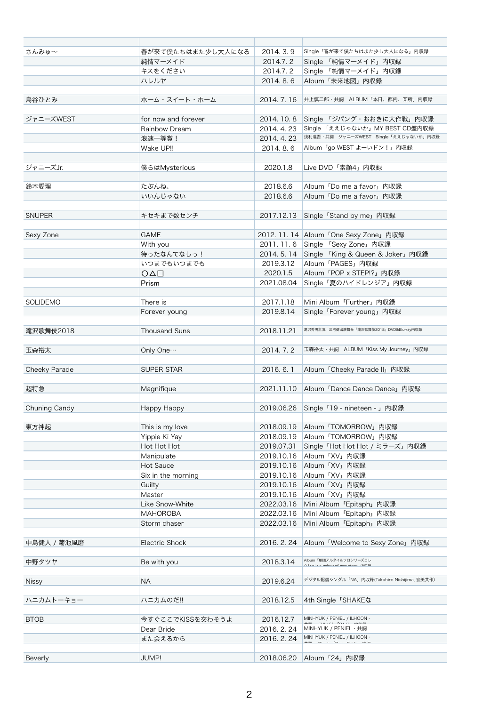| さんみゅ~           | 春が来て僕たちはまた少し大人になる            | 2014.3.9                 | Single「春が来て僕たちはまた少し大人になる」内収録                     |
|-----------------|------------------------------|--------------------------|--------------------------------------------------|
|                 | 純情マーメイド                      | 2014.7.2                 | Single 「純情マーメイド」内収録                              |
|                 | キスをください                      | 2014.7.2                 | Single 「純情マーメイド」内収録                              |
|                 | ハレルヤ                         | 2014.8.6                 | Album「未来地図」内収録                                   |
|                 |                              |                          |                                                  |
| 島谷ひとみ           | ホーム・スイート・ホーム                 | 2014.7.16                | 井上慎二郎・共詞 ALBUM「本日、都内、某所」内収録                      |
| ジャニーズWEST       | for now and forever          | 2014. 10. 8              | Single 「ジパング・おおきに大作戦」内収録                         |
|                 | Rainbow Dream                | 2014.4.23                | Single 「ええじゃないか」MY BEST CD盤内収録                   |
|                 | 浪速一等賞!                       | 2014.4.23                | 浅利進吾·共詞 ジャニーズWEST Single「ええじゃないか」内収録             |
|                 | Wake UP!!                    | 2014.8.6                 | Album「go WEST よーいドン!」内収録                         |
|                 |                              |                          |                                                  |
| ジャニーズJr.        | 僕らはMysterious                | 2020.1.8                 | Live DVD「素顔4」内収録                                 |
|                 |                              |                          |                                                  |
| 鈴木愛理            | たぶんね、                        | 2018.6.6                 | Album 「Do me a favor」内収録                         |
|                 | いいんじゃない                      | 2018.6.6                 | Album 「Do me a favor」内収録                         |
|                 |                              |                          |                                                  |
| <b>SNUPER</b>   | キセキまで数センチ                    | 2017.12.13               | Single 「Stand by me」内収録                          |
| Sexy Zone       | <b>GAME</b>                  |                          | 2012. 11. 14 Album 「One Sexy Zone」内収録            |
|                 | With you                     | 2011.11.6                | Single 「Sexy Zone」内収録                            |
|                 | 待ったなんてなしっ!                   | 2014. 5. 14              | Single 「King & Queen & Joker」内収録                 |
|                 | いつまでもいつまでも                   | 2019.3.12                | Album「PAGES」内収録                                  |
|                 | $O \triangle \Box$           | 2020.1.5                 | Album 「POP x STEP!?」内収録                          |
|                 | Prism                        | 2021.08.04               | Single「夏のハイドレンジア」内収録                             |
|                 |                              |                          |                                                  |
| <b>SOLIDEMO</b> | There is                     | 2017.1.18                | Mini Album「Further」内収録                           |
|                 | Forever young                | 2019.8.14                | Single 「Forever young」内収録                        |
|                 |                              |                          |                                                  |
| 滝沢歌舞伎2018       | <b>Thousand Suns</b>         | 2018.11.21               | 滝沢秀明主演、三宅健出演舞台「滝沢歌舞伎2018」DVD&Blu-ray内収録          |
|                 |                              |                          |                                                  |
| 玉森裕太            | Only One                     | 2014.7.2                 | 玉森裕太·共詞 ALBUM「Kiss My Journey」内収録                |
|                 |                              |                          |                                                  |
| Cheeky Parade   | <b>SUPER STAR</b>            | 2016.6.1                 | Album 「Cheeky Parade II」 内収録                     |
|                 |                              |                          |                                                  |
| 超特急             | Magnifique                   | 2021.11.10               | Album 「Dance Dance Dance」内収録                     |
|                 |                              |                          |                                                  |
| Chuning Candy   | Happy Happy                  | 2019.06.26               | Single 「19 - nineteen - 」内収録                     |
|                 |                              |                          | Album「TOMORROW」内収録                               |
| 東方神起            | This is my love              | 2018.09.19<br>2018.09.19 |                                                  |
|                 | Yippie Ki Yay<br>Hot Hot Hot | 2019.07.31               | Album「TOMORROW」内収録                               |
|                 |                              | 2019.10.16               | Single「Hot Hot Hot / ミラーズ」内収録<br>Album「XV」内収録    |
|                 | Manipulate                   |                          |                                                  |
|                 | Hot Sauce                    | 2019.10.16               | Album「XV」内収録                                     |
|                 | Six in the morning           | 2019.10.16               | Album「XV」内収録                                     |
|                 | Guilty<br>Master             | 2019.10.16<br>2019.10.16 | Album「XV」内収録<br>Album「XV」内収録                     |
|                 | Like Snow-White              | 2022.03.16               |                                                  |
|                 | <b>MAHOROBA</b>              | 2022.03.16               | Mini Album「Epitaph」内収録<br>Mini Album「Epitaph」内収録 |
|                 | Storm chaser                 | 2022.03.16               | Mini Album「Epitaph」内収録                           |
|                 |                              |                          |                                                  |
| 中島健人 / 菊池風磨     | <b>Electric Shock</b>        | 2016. 2. 24              | Album 「Welcome to Sexy Zone」内収録                  |
|                 |                              |                          |                                                  |
| 中野タツヤ           | Be with you                  | 2018.3.14                | Album「劇団アルタイルソロシリーズコレ                            |
|                 |                              |                          |                                                  |
| <b>Nissy</b>    | <b>NA</b>                    | 2019.6.24                | デジタル配信シングル「NA」内収録(Takahiro Nishijima, 宏美共作)      |
| ハニカムトーキョー       | ハニカムのだ!!                     | 2018.12.5                | 4th Single 「SHAKEな                               |
|                 |                              |                          |                                                  |
| <b>BTOB</b>     | 今すぐここでKISSを交わそうよ             | 2016.12.7                | MINHYUK / PENIEL / ILHOON ·                      |
|                 | Dear Bride                   | 2016. 2. 24              | MINHYUK / PENIEL · 共詞                            |
|                 | また会えるから                      | 2016. 2. 24              | MINHYUK / PENIEL / ILHOON $\cdot$                |
|                 |                              |                          |                                                  |
| <b>Beverly</b>  | <b>JUMP!</b>                 | 2018.06.20               | Album「24」内収録                                     |